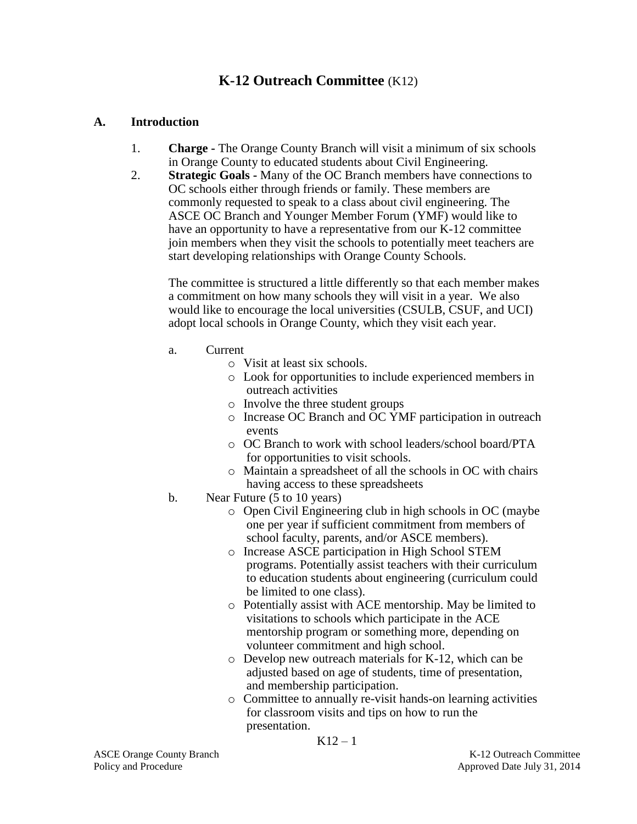# **K-12 Outreach Committee** (K12)

#### **A. Introduction**

- 1. **Charge -** The Orange County Branch will visit a minimum of six schools in Orange County to educated students about Civil Engineering.
- 2. **Strategic Goals -** Many of the OC Branch members have connections to OC schools either through friends or family. These members are commonly requested to speak to a class about civil engineering. The ASCE OC Branch and Younger Member Forum (YMF) would like to have an opportunity to have a representative from our K-12 committee join members when they visit the schools to potentially meet teachers are start developing relationships with Orange County Schools.

The committee is structured a little differently so that each member makes a commitment on how many schools they will visit in a year. We also would like to encourage the local universities (CSULB, CSUF, and UCI) adopt local schools in Orange County, which they visit each year.

- a. Current
	- o Visit at least six schools.
	- o Look for opportunities to include experienced members in outreach activities
	- o Involve the three student groups
	- o Increase OC Branch and OC YMF participation in outreach events
	- o OC Branch to work with school leaders/school board/PTA for opportunities to visit schools.
	- o Maintain a spreadsheet of all the schools in OC with chairs having access to these spreadsheets
- b. Near Future (5 to 10 years)
	- o Open Civil Engineering club in high schools in OC (maybe one per year if sufficient commitment from members of school faculty, parents, and/or ASCE members).
	- o Increase ASCE participation in High School STEM programs. Potentially assist teachers with their curriculum to education students about engineering (curriculum could be limited to one class).
	- o Potentially assist with ACE mentorship. May be limited to visitations to schools which participate in the ACE mentorship program or something more, depending on volunteer commitment and high school.
	- o Develop new outreach materials for K-12, which can be adjusted based on age of students, time of presentation, and membership participation.
	- o Committee to annually re-visit hands-on learning activities for classroom visits and tips on how to run the presentation.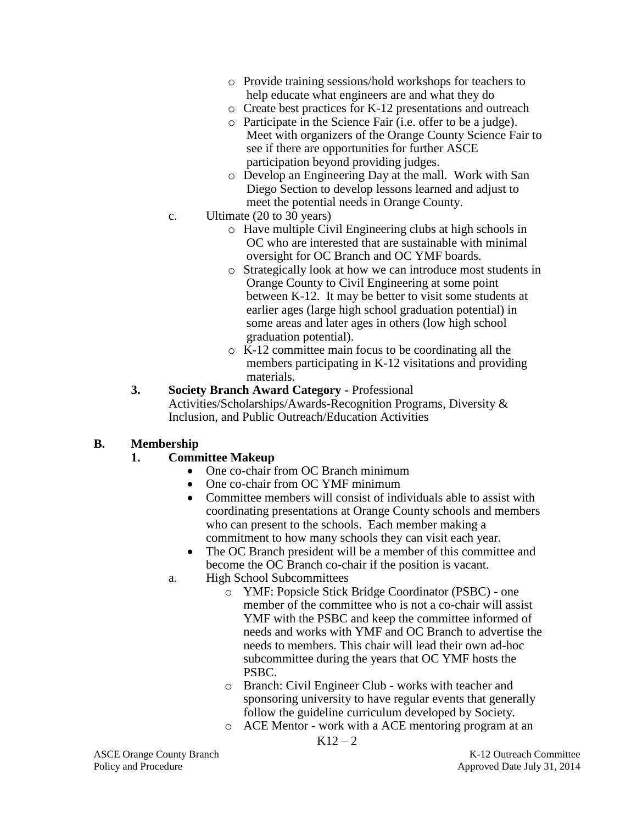- o Provide training sessions/hold workshops for teachers to help educate what engineers are and what they do
- o Create best practices for K-12 presentations and outreach
- o Participate in the Science Fair (i.e. offer to be a judge). Meet with organizers of the Orange County Science Fair to see if there are opportunities for further ASCE participation beyond providing judges.
- o Develop an Engineering Day at the mall. Work with San Diego Section to develop lessons learned and adjust to meet the potential needs in Orange County.
- c. Ultimate (20 to 30 years)
	- o Have multiple Civil Engineering clubs at high schools in OC who are interested that are sustainable with minimal oversight for OC Branch and OC YMF boards.
	- o Strategically look at how we can introduce most students in Orange County to Civil Engineering at some point between K-12. It may be better to visit some students at earlier ages (large high school graduation potential) in some areas and later ages in others (low high school graduation potential).
	- o K-12 committee main focus to be coordinating all the members participating in K-12 visitations and providing materials.
- **3. Society Branch Award Category -** Professional Activities/Scholarships/Awards-Recognition Programs, Diversity & Inclusion, and Public Outreach/Education Activities

## **B. Membership**

## **1. Committee Makeup**

- One co-chair from OC Branch minimum
- One co-chair from OC YMF minimum
- Committee members will consist of individuals able to assist with coordinating presentations at Orange County schools and members who can present to the schools. Each member making a commitment to how many schools they can visit each year.
- The OC Branch president will be a member of this committee and become the OC Branch co-chair if the position is vacant.
- a. High School Subcommittees
	- o YMF: Popsicle Stick Bridge Coordinator (PSBC) one member of the committee who is not a co-chair will assist YMF with the PSBC and keep the committee informed of needs and works with YMF and OC Branch to advertise the needs to members. This chair will lead their own ad-hoc subcommittee during the years that OC YMF hosts the PSBC.
	- o Branch: Civil Engineer Club works with teacher and sponsoring university to have regular events that generally follow the guideline curriculum developed by Society.
	- o ACE Mentor work with a ACE mentoring program at an